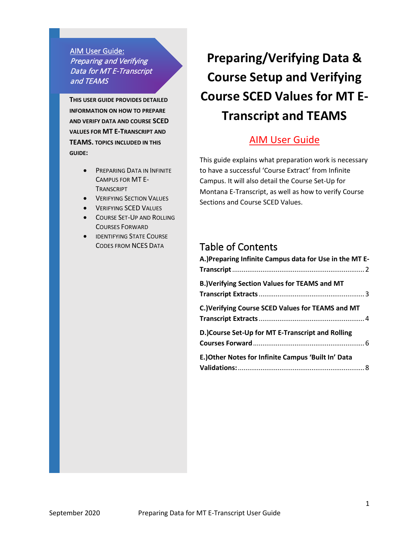AIM User Guide: Preparing and Verifying Data for MT E-Transcript and TEAMS

**THIS USER GUIDE PROVIDES DETAILED INFORMATION ON HOW TO PREPARE AND VERIFY DATA AND COURSE SCED VALUES FOR MT E-TRANSCRIPT AND TEAMS. TOPICS INCLUDED IN THIS GUIDE:**

- PREPARING DATA IN INFINITE CAMPUS FOR MT E-**TRANSCRIPT**
- **VERIFYING SECTION VALUES**
- VERIFYING SCED VALUES
- COURSE SET-UP AND ROLLING COURSES FORWARD
- **IDENTIFYING STATE COURSE** CODES FROM NCES DATA

# **Preparing/Verifying Data & Course Setup and Verifying Course SCED Values for MT E-Transcript and TEAMS**

# AIM User Guide

This guide explains what preparation work is necessary to have a successful 'Course Extract' from Infinite Campus. It will also detail the Course Set-Up for Montana E-Transcript, as well as how to verify Course Sections and Course SCED Values.

### Table of Contents

| A.) Preparing Infinite Campus data for Use in the MT E- |
|---------------------------------------------------------|
| <b>B.)Verifying Section Values for TEAMS and MT</b>     |
| C.) Verifying Course SCED Values for TEAMS and MT       |
| D.)Course Set-Up for MT E-Transcript and Rolling        |
| E.) Other Notes for Infinite Campus 'Built In' Data     |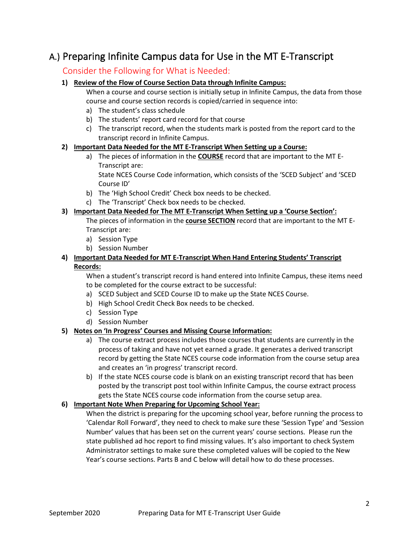### <span id="page-1-0"></span>A.) Preparing Infinite Campus data for Use in the MT E-Transcript

#### Consider the Following for What is Needed:

#### **1) Review of the Flow of Course Section Data through Infinite Campus:**

When a course and course section is initially setup in Infinite Campus, the data from those course and course section records is copied/carried in sequence into:

- a) The student's class schedule
- b) The students' report card record for that course
- c) The transcript record, when the students mark is posted from the report card to the transcript record in Infinite Campus.

#### **2) Important Data Needed for the MT E-Transcript When Setting up a Course:**

a) The pieces of information in the **COURSE** record that are important to the MT E-Transcript are:

State NCES Course Code information, which consists of the 'SCED Subject' and 'SCED Course ID'

- b) The 'High School Credit' Check box needs to be checked.
- c) The 'Transcript' Check box needs to be checked.

#### **3) Important Data Needed for The MT E-Transcript When Setting up a 'Course Section':**

The pieces of information in the **course SECTION** record that are important to the MT E-Transcript are:

- a) Session Type
- b) Session Number

#### **4) Important Data Needed for MT E-Transcript When Hand Entering Students' Transcript Records:**

When a student's transcript record is hand entered into Infinite Campus, these items need to be completed for the course extract to be successful:

- a) SCED Subject and SCED Course ID to make up the State NCES Course.
- b) High School Credit Check Box needs to be checked.
- c) Session Type
- d) Session Number

#### **5) Notes on 'In Progress' Courses and Missing Course Information:**

- a) The course extract process includes those courses that students are currently in the process of taking and have not yet earned a grade. It generates a derived transcript record by getting the State NCES course code information from the course setup area and creates an 'in progress' transcript record.
- b) If the state NCES course code is blank on an existing transcript record that has been posted by the transcript post tool within Infinite Campus, the course extract process gets the State NCES course code information from the course setup area.

#### **6) Important Note When Preparing for Upcoming School Year:**

<span id="page-1-1"></span>When the district is preparing for the upcoming school year, before running the process to 'Calendar Roll Forward', they need to check to make sure these 'Session Type' and 'Session Number' values that has been set on the current years' course sections. Please run the state published ad hoc report to find missing values. It's also important to check System Administrator settings to make sure these completed values will be copied to the New Year's course sections. Parts B and C below will detail how to do these processes.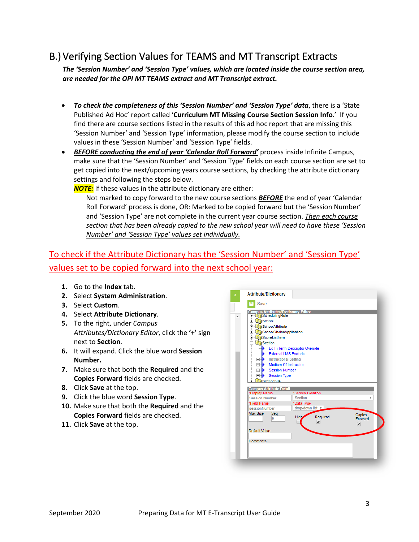# <span id="page-2-0"></span>B.) Verifying Section Values for TEAMS and MT Transcript Extracts

*The 'Session Number' and 'Session Type' values, which are located inside the course section area, are needed for the OPI MT TEAMS extract and MT Transcript extract.* 

- *To check the completeness of this 'Session Number' and 'Session Type' data*, there is a 'State Published Ad Hoc' report called '**Curriculum MT Missing Course Section Session Info**.' If you find there are course sections listed in the results of this ad hoc report that are missing this 'Session Number' and 'Session Type' information, please modify the course section to include values in these 'Session Number' and 'Session Type' fields.
- *BEFORE conducting the end of year 'Calendar Roll Forward'* process inside Infinite Campus, make sure that the 'Session Number' and 'Session Type' fields on each course section are set to get copied into the next/upcoming years course sections, by checking the attribute dictionary settings and following the steps below.

*NOTE:* If these values in the attribute dictionary are either:

Not marked to copy forward to the new course sections *BEFORE* the end of year 'Calendar Roll Forward' process is done, OR: Marked to be copied forward but the 'Session Number' and 'Session Type' are not complete in the current year course section. *Then each course section that has been already copied to the new school year will need to have these 'Session Number' and 'Session Type' values set individually.*

### To check if the Attribute Dictionary has the 'Session Number' and 'Session Type' values set to be copied forward into the next school year:

- **1.** Go to the **Index** tab.
- **2.** Select **System Administration**.
- **3.** Select **Custom**.
- **4.** Select **Attribute Dictionary**.
- **5.** To the right, under *Campus Attributes/Dictionary Editor*, click the **'+'** sign next to **Section**.
- **6.** It will expand. Click the blue word **Session Number.**
- **7.** Make sure that both the **Required** and the **Copies Forward** fields are checked.
- **8.** Click **Save** at the top.
- **9.** Click the blue word **Session Type**.
- **10.** Make sure that both the **Required** and the **Copies Forward** fields are checked.
- **11.** Click **Save** at the top.

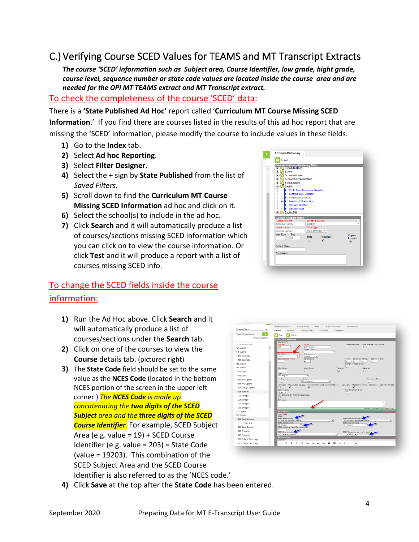# <span id="page-3-0"></span>C.) Verifying Course SCED Values for TEAMS and MT Transcript Extracts

*The course 'SCED' information such as Subject area, Course Identifier, low grade, hight grade, course level, sequence number or state code values are located inside the course area and are needed for the OPI MT TEAMS extract and MT Transcript extract.* 

### To check the completeness of the course 'SCED' data:

#### There is a **'State Published Ad Hoc'** report called '**Curriculum MT Course Missing SCED**

**Information**.' If you find there are courses listed in the results of this ad hoc report that are missing the 'SCED' information, please modify the course to include values in these fields.

- **1)** Go to the **Index** tab.
- **2)** Select **Ad hoc Reporting**.
- **3)** Select **Filter Designer**.
- **4)** Select the + sign by **State Published** from the list of *Saved Filters*.
- **5)** Scroll down to find the **Curriculum MT Course Missing SCED Information** ad hoc and click on it.
- **6)** Select the school(s) to include in the ad hoc.
- **7)** Click **Search** and it will automatically produce a list of courses/sections missing SCED information which you can click on to view the course information. Or click **Test** and it will produce a report with a list of courses missing SCED info.

### To change the SCED fields inside the course information:

- **1)** Run the Ad Hoc above. Click **Search** and it will automatically produce a list of courses/sections under the **Search** tab.
- **2)** Click on one of the courses to view the **Course** details tab. (pictured right)
- **3)** The **State Code** field should be set to the same value as the **NCES Code** (located in the bottom NCES portion of the screen in the upper left corner.) *The NCES Code is made up concatenating the two digits of the SCED Subject area and the three digits of the SCED Course Identifier.* For example, SCED Subject Area (e.g. value = 19) + SCED Course Identifier (e.g. value = 203) = State Code (value = 19203). This combination of the SCED Subject Area and the SCED Course Identifier is also referred to as the 'NCES code.'



| Course/Section<br>$\checkmark$ | Grade Calc Options                |                                                     | Course Rules                                                           | Fees      | <b>Build Constraints</b>            | <b>Assessments</b>                                           |                                    |                                         |
|--------------------------------|-----------------------------------|-----------------------------------------------------|------------------------------------------------------------------------|-----------|-------------------------------------|--------------------------------------------------------------|------------------------------------|-----------------------------------------|
|                                | Course                            | Sections                                            | Grading Tasks                                                          | Standards | Categories                          |                                                              |                                    |                                         |
| Go.<br>Search Course/Section   | в<br>Save                         | <b>R</b> Delete                                     |                                                                        |           |                                     |                                                              |                                    |                                         |
| <b>Advanced Search</b>         |                                   | $\Box$ $\Box$ Course Information                    |                                                                        |           |                                     |                                                              |                                    |                                         |
| <b>CASE PROGRAMMENT FORMS</b>  | Course D 612<br>*Number           |                                                     | *Name                                                                  |           |                                     | Standards-based                                              | Active External LMS Exclude        |                                         |
| 140 Math III<br>$\lambda$      | 230                               |                                                     | Earth Science<br>Subject Type                                          |           |                                     |                                                              | ⊽                                  |                                         |
| 145 Math III                   | <b>State Code</b>                 |                                                     | Department                                                             |           | v                                   |                                                              |                                    |                                         |
| + 150 Geometry                 | 02005                             |                                                     | Science                                                                | v         |                                     |                                                              |                                    |                                         |
| > 155 Geometry                 |                                   | Schedule Load Priority                              | <b>May Students</b><br>25                                              |           |                                     | Schedules Periods<br><b>Tarms</b><br>۱o<br>۱o                | <b>Rentinns to Ruild</b><br>b<br>ь |                                         |
| 160 Math II                    |                                   |                                                     |                                                                        |           |                                     | <b>Section Template Group</b>                                |                                    |                                         |
| 165 Math II                    | <b>GPA Weight</b>                 |                                                     | <b>Regula Points</b>                                                   |           | Transcript                          | $\checkmark$                                                 | Required                           |                                         |
| $+ 170$ Math I                 | k                                 |                                                     |                                                                        |           | ⊽                                   |                                                              |                                    |                                         |
| $+175$ Math I                  | Type<br><b>RG: Regular</b>        |                                                     | v                                                                      |           |                                     |                                                              |                                    |                                         |
| + 180 Pre-Algebra              |                                   | Resoonsive                                          | Activity<br>AC: Academic                                               |           | v                                   |                                                              | Vocational Code                    |                                         |
| > 185 Pre-Algebra              |                                   |                                                     | Homeroom Allow student requests Allow teacher requests/recommendations |           |                                     | Repeatable Attendance Positive Attendance High School Credit |                                    |                                         |
| + 190 College Algebra          | п                                 | ⊽                                                   | ⊽                                                                      |           |                                     | ⊽                                                            |                                    |                                         |
| - 195 Statistics               | Distance Class<br>N: No. V        |                                                     |                                                                        |           |                                     | <b>Dual Fornitment Cradit</b>                                |                                    |                                         |
| $+200$ Biology I               |                                   |                                                     | Hide Standards On Portal/Campus Student                                |           |                                     |                                                              |                                    |                                         |
| > 205 Biology I                | п<br>Comments                     |                                                     |                                                                        |           |                                     |                                                              |                                    |                                         |
| > 210 Biology II               |                                   |                                                     |                                                                        |           |                                     |                                                              |                                    |                                         |
| * 215 Biology II               |                                   |                                                     |                                                                        |           |                                     |                                                              |                                    | - Modified by: Unknown 08/23/2016 20:43 |
| 220 Physics                    | <b>E NCES Data</b>                |                                                     |                                                                        |           |                                     |                                                              |                                    |                                         |
| 225 Physics                    | NCES Code<br>02008                |                                                     |                                                                        |           |                                     |                                                              |                                    |                                         |
| * 230 Earth Science            |                                   | SCED Subject Area<br>03: Life and Physical Sciences |                                                                        |           | $\checkmark$                        | SCED Course Identifier<br>008: MT-Earth and Space Science    |                                    | $\checkmark$                            |
| 1) THOLA R                     | CG: Grade 9                       | <b>SCED Lowest Grade</b>                            | $\checkmark$                                                           |           |                                     | <b>SCED Highest Grade</b>                                    |                                    |                                         |
| > 235 Earth Science            |                                   | SCED Available Credit (Carnegie Units)              |                                                                        |           |                                     | O9: Grade 9                                                  |                                    |                                         |
| > 240 Chemistry                | 'n                                | SCED Course Level 4                                 |                                                                        |           |                                     | SCED Sequence: (part n of m parts)                           |                                    |                                         |
| > 245 Chemistry                |                                   | GE: General Education                               |                                                                        |           | v                                   | $1 - 2$ of $1 - 2$                                           |                                    |                                         |
| * 260 College Psychology       | <b>Description</b><br>Description |                                                     |                                                                        |           |                                     |                                                              |                                    |                                         |
| - 265 College Psychology       | $\leftrightarrow$                 | ч<br>B                                              | 1<br>U<br>⊫<br>海                                                       | 宿<br>疆    | 冊<br>œ.<br>$\overline{\phantom{a}}$ | Α<br>₹                                                       |                                    |                                         |

**4)** Click **Save** at the top after the **State Code** has been entered.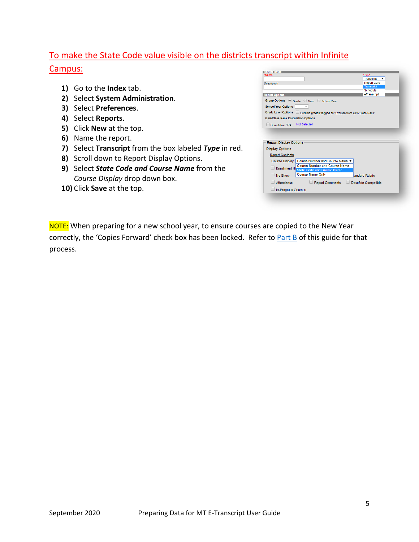### To make the State Code value visible on the districts transcript within Infinite Campus:

- **1)** Go to the **Index** tab.
- **2)** Select **System Administration**.
- **3)** Select **Preferences**.
- **4)** Select **Reports**.
- **5)** Click **New** at the top.
- **6)** Name the report.
- **7)** Select **Transcript** from the box labeled *Type* in red.
- **8)** Scroll down to Report Display Options.
- **9)** Select *State Code and Course Name* from the *Course Display* drop down box.
- **10)** Click **Save** at the top.

| *Name                                     |                                                                               | *Type               | <b>Transcript</b>              |  |
|-------------------------------------------|-------------------------------------------------------------------------------|---------------------|--------------------------------|--|
| <b>Description</b>                        |                                                                               |                     | <b>Report Card</b>             |  |
|                                           |                                                                               |                     | <b>Transcript</b>              |  |
|                                           |                                                                               |                     | <b>Schedule</b><br>eTranscript |  |
| <b>Report Options</b>                     |                                                                               |                     |                                |  |
|                                           | Group Options @ Grade O Term O School Year                                    |                     |                                |  |
| <b>School Year Options</b>                | ▼                                                                             |                     |                                |  |
|                                           | Grade Level Options   Exclude grades flagged as "Exclude from GPA/Class Rank" |                     |                                |  |
| <b>GPA/Class Rank Calculation Options</b> |                                                                               |                     |                                |  |
|                                           | <b>Not Selected</b>                                                           |                     |                                |  |
| Cumulative GPA                            |                                                                               |                     |                                |  |
|                                           |                                                                               |                     |                                |  |
| <b>Report Display Options</b>             |                                                                               |                     |                                |  |
| <b>Display Options</b>                    |                                                                               |                     |                                |  |
| <b>Report Contents</b>                    |                                                                               |                     |                                |  |
|                                           | Course Display: Course Number and Course Name ▼                               |                     |                                |  |
|                                           | <b>Course Number and Course Name</b>                                          |                     |                                |  |
|                                           | Enrollment Hi State Code and Course Name                                      |                     |                                |  |
| No Show                                   | <b>Course Name Only</b>                                                       | fandard Rubric      |                                |  |
| Attendance                                | <b>Report Comments</b>                                                        | Docufide Compatible |                                |  |

NOTE: When preparing for a new school year, to ensure courses are copied to the New Year correctly, the 'Copies Forward' check box has been locked. Refer t[o Part B](#page-1-1) of this guide for that process.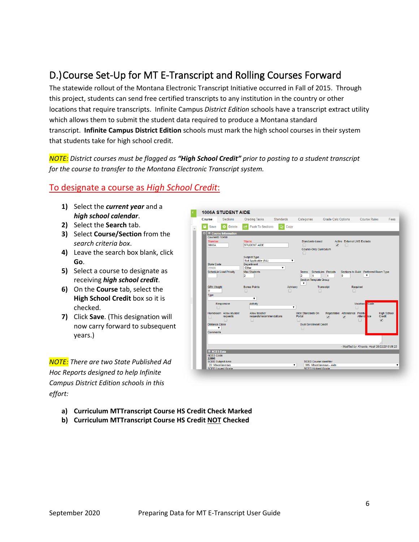# <span id="page-5-0"></span>D.)Course Set-Up for MT E-Transcript and Rolling Courses Forward

The statewide rollout of the Montana Electronic Transcript Initiative occurred in Fall of 2015. Through this project, students can send free certified transcripts to any institution in the country or other locations that require transcripts. Infinite Campus *District Edition* schools have a transcript extract utility which allows them to submit the student data required to produce a Montana standard transcript. **Infinite Campus District Edition** schools must mark the high school courses in their system that students take for high school credit.

*NOTE: District courses must be flagged as "High School Credit" prior to posting to a student transcript for the course to transfer to the Montana Electronic Transcript system.* 

#### To designate a course as *High School Credit*:

- **1)** Select the *current year* and a *high school calendar*.
- **2)** Select the **Search** tab.
- **3)** Select **Course/Section** from the *search criteria box*.
- **4)** Leave the search box blank, click **Go**.
- **5)** Select a course to designate as receiving *high school credit*.
- **6)** On the **Course** tab, select the **High School Credit** box so it is checked.
- **7)** Click **Save**. (This designation will now carry forward to subsequent years.)

*NOTE: There are two State Published Ad Hoc Reports designed to help Infinite Campus District Edition schools in this effort:* 

| Course |                           | <b>Sections</b>                    | <b>Grading Tasks</b>                      | <b>Standards</b> | Categories                                          | <b>Grade Calc Options</b>     |                                         | <b>Course Rules</b>                             | Fees                         |
|--------|---------------------------|------------------------------------|-------------------------------------------|------------------|-----------------------------------------------------|-------------------------------|-----------------------------------------|-------------------------------------------------|------------------------------|
|        | Save                      | <b>Delete</b>                      | <b>Push To Sections</b>                   | ৫৮<br>Copy       |                                                     |                               |                                         |                                                 |                              |
| ஈ      |                           | $\equiv$ Course Information        |                                           |                  |                                                     |                               |                                         |                                                 |                              |
|        | CourseID 10450            |                                    |                                           |                  |                                                     |                               |                                         |                                                 |                              |
|        | *Number<br>1006A          |                                    | *Name<br><b>STUDENT AIDE</b>              |                  | Standards-based                                     | $\overline{\mathcal{L}}$      | <b>Active External LMS Exclude</b><br>m |                                                 |                              |
|        |                           |                                    |                                           |                  | Course-Only Curriculum                              |                               |                                         |                                                 |                              |
|        |                           |                                    | <b>Subject Type</b>                       |                  |                                                     |                               |                                         |                                                 |                              |
|        |                           |                                    | Not Applicable (NA)                       |                  |                                                     |                               |                                         |                                                 |                              |
|        | <b>State Code</b>         |                                    | <b>Department</b>                         |                  |                                                     |                               |                                         |                                                 |                              |
|        | 22995                     | <b>Schedule Load Priority</b>      | Other<br><b>Max Students</b>              | ۷.               | <b>Terms</b>                                        | <b>Schedules</b> Periods      |                                         | Sections to Build Preferred Room Type           |                              |
|        |                           |                                    | 12                                        |                  | $\overline{2}$<br>1                                 | 1                             | n                                       | ▼                                               |                              |
|        |                           |                                    |                                           |                  | <b>Section Template Group</b><br>$\pmb{\mathrm{v}}$ |                               |                                         |                                                 |                              |
|        | <b>GPA Weight</b>         |                                    | <b>Bonus Points</b>                       | Advisory         |                                                     | <b>Transcript</b>             | Required                                |                                                 |                              |
|        | o                         |                                    | m                                         |                  |                                                     | m                             |                                         |                                                 |                              |
|        | Type                      |                                    | ۷.                                        |                  |                                                     |                               |                                         |                                                 |                              |
|        |                           | Responsive                         | Activity                                  |                  |                                                     |                               |                                         | Code<br>Vocationa                               |                              |
|        |                           |                                    |                                           |                  | ۰.                                                  |                               |                                         |                                                 |                              |
|        |                           |                                    |                                           |                  |                                                     |                               | Repeatable Attendance Positive          |                                                 |                              |
|        | $\Box$                    | Homeroom Allow student<br>requests | Allow teacher<br>requests/recommendations |                  | <b>Hide Standards On</b><br>Portal                  | $\overline{\mathcal{C}}$      | ᢦ                                       | Attend: Ice                                     | <b>High School</b><br>Credit |
|        |                           |                                    |                                           |                  |                                                     |                               |                                         |                                                 | ✔                            |
|        | <b>Distance Class</b>     |                                    |                                           |                  | <b>Dual Enrollment Credit</b>                       |                               |                                         |                                                 |                              |
|        | $\pmb{\mathrm{v}}$        |                                    |                                           |                  |                                                     |                               |                                         |                                                 |                              |
|        | <b>Comments</b>           |                                    |                                           |                  |                                                     |                               |                                         |                                                 |                              |
|        |                           |                                    |                                           |                  |                                                     |                               |                                         |                                                 |                              |
|        |                           |                                    |                                           |                  |                                                     |                               |                                         |                                                 |                              |
|        |                           |                                    |                                           |                  |                                                     |                               |                                         | - Modified by: Kinsella, Heidi 08/22/2018 06:23 |                              |
|        | <b>E</b> NCES Data        |                                    |                                           |                  |                                                     |                               |                                         |                                                 |                              |
|        | <b>NCES Code</b><br>22995 |                                    |                                           |                  |                                                     |                               |                                         |                                                 |                              |
|        | <b>SCED Subject Area</b>  |                                    |                                           |                  |                                                     | <b>SCED Course Identifier</b> |                                         |                                                 |                              |
|        | 22: Miscellaneous         |                                    |                                           |                  | ۰.                                                  | 995: Miscellaneous - Aide     |                                         |                                                 | 7                            |

- **a) Curriculum MTTranscript Course HS Credit Check Marked**
- **b) Curriculum MTTranscript Course HS Credit NOT Checked**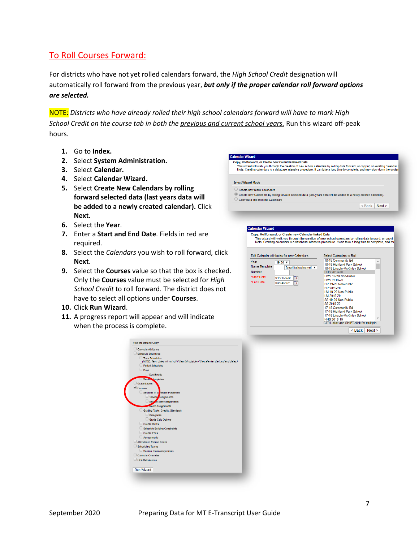### To Roll Courses Forward:

For districts who have not yet rolled calendars forward, the *High School Credit* designation will automatically roll forward from the previous year, *but only if the proper calendar roll forward options are selected.*

NOTE: *Districts who have already rolled their high school calendars forward will have to mark High School Credit on the course tab in both the previous and current school years.* Run this wizard off-peak hours.

**Calendar Wizard** 

- **1.** Go to **Index.**
- **2.** Select **System Administration.**
- **3.** Select **Calendar.**
- **4.** Select **Calendar Wizard.**
- **5.** Select **Create New Calendars by rolling forward selected data (last years data will be added to a newly created calendar).** Click **Next.**
- **6.** Select the **Year**.
- **7.** Enter a **Start and End Date**. Fields in red are required.
- **8.** Select the *Calendars* you wish to roll forward, click **Next**.
- **9.** Select the **Courses** value so that the box is checked. Only the **Courses** value must be selected for *High School Credit* to roll forward. The district does not have to select all options under **Courses**.
- **10.** Click **Run Wizard**.
- **11.** A progress report will appear and will indicate when the process is complete.